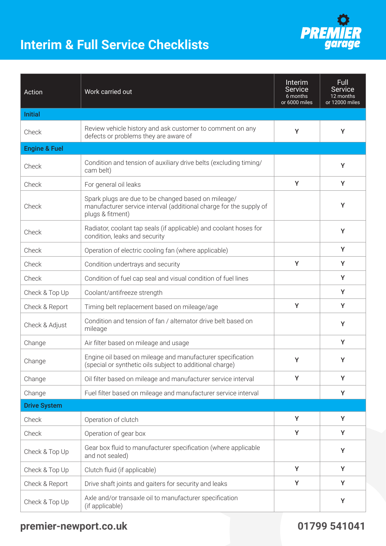## **Interim & Full Service Checklists**



| Action                   | Work carried out                                                                                                                              | Interim<br>Service<br>6 months<br>or 6000 miles | <b>Full</b><br><b>Service</b><br>12 months<br>or 12000 miles |
|--------------------------|-----------------------------------------------------------------------------------------------------------------------------------------------|-------------------------------------------------|--------------------------------------------------------------|
| <b>Initial</b>           |                                                                                                                                               |                                                 |                                                              |
| Check                    | Review vehicle history and ask customer to comment on any<br>defects or problems they are aware of                                            | Y                                               | Y                                                            |
| <b>Engine &amp; Fuel</b> |                                                                                                                                               |                                                 |                                                              |
| Check                    | Condition and tension of auxiliary drive belts (excluding timing/<br>cam belt)                                                                |                                                 | Y                                                            |
| Check                    | For general oil leaks                                                                                                                         | Y                                               | Y                                                            |
| Check                    | Spark plugs are due to be changed based on mileage/<br>manufacturer service interval (additional charge for the supply of<br>plugs & fitment) |                                                 | Y                                                            |
| Check                    | Radiator, coolant tap seals (if applicable) and coolant hoses for<br>condition, leaks and security                                            |                                                 | Y                                                            |
| Check                    | Operation of electric cooling fan (where applicable)                                                                                          |                                                 | Y                                                            |
| Check                    | Condition undertrays and security                                                                                                             | Y                                               | Y                                                            |
| Check                    | Condition of fuel cap seal and visual condition of fuel lines                                                                                 |                                                 | Y                                                            |
| Check & Top Up           | Coolant/antifreeze strength                                                                                                                   |                                                 | Y                                                            |
| Check & Report           | Timing belt replacement based on mileage/age                                                                                                  | Y                                               | Y                                                            |
| Check & Adjust           | Condition and tension of fan / alternator drive belt based on<br>mileage                                                                      |                                                 | Y                                                            |
| Change                   | Air filter based on mileage and usage                                                                                                         |                                                 | Y                                                            |
| Change                   | Engine oil based on mileage and manufacturer specification<br>(special or synthetic oils subject to additional charge)                        | Y                                               | Y                                                            |
| Change                   | Oil filter based on mileage and manufacturer service interval                                                                                 | Y                                               | Y                                                            |
| Change                   | Fuel filter based on mileage and manufacturer service interval                                                                                |                                                 | Y                                                            |
| <b>Drive System</b>      |                                                                                                                                               |                                                 |                                                              |
| Check                    | Operation of clutch                                                                                                                           | Y                                               | Y                                                            |
| Check                    | Operation of gear box                                                                                                                         | Y                                               | Y                                                            |
| Check & Top Up           | Gear box fluid to manufacturer specification (where applicable<br>and not sealed)                                                             |                                                 | Y                                                            |
| Check & Top Up           | Clutch fluid (if applicable)                                                                                                                  | Y                                               | Y                                                            |
| Check & Report           | Drive shaft joints and gaiters for security and leaks                                                                                         | Y                                               | Y                                                            |
| Check & Top Up           | Axle and/or transaxle oil to manufacturer specification<br>(if applicable)                                                                    |                                                 | Υ                                                            |

## **premier-newport.co.uk 01799 541041**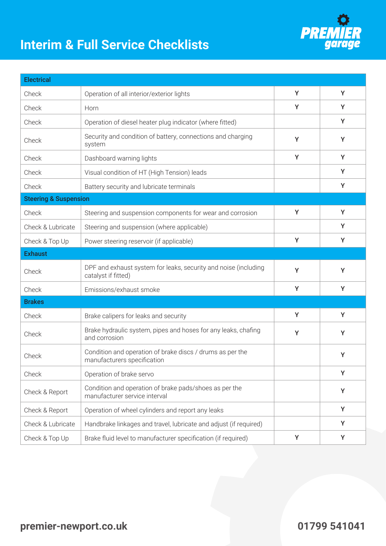## **Interim & Full Service Checklists**



Check & Top Up Brake fluid level to manufacturer specification (if required)  $\gamma$ 

**PREA**